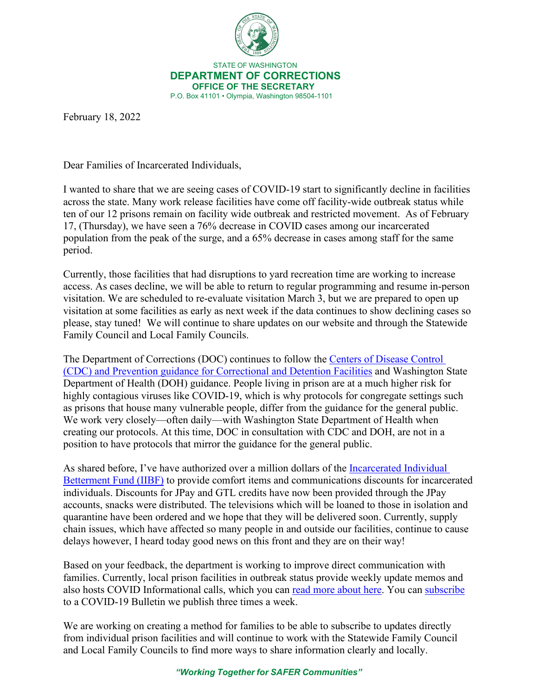

 STATE OF WASHINGTON **DEPARTMENT OF CORRECTIONS OFFICE OF THE SECRETARY** P.O. Box 41101 • Olympia, Washington 98504-1101

February 18, 2022

Dear Families of Incarcerated Individuals,

I wanted to share that we are seeing cases of COVID-19 start to significantly decline in facilities across the state. Many work release facilities have come off facility-wide outbreak status while ten of our 12 prisons remain on facility wide outbreak and restricted movement. As of February 17, (Thursday), we have seen a 76% decrease in COVID cases among our incarcerated population from the peak of the surge, and a 65% decrease in cases among staff for the same period.

Currently, those facilities that had disruptions to yard recreation time are working to increase access. As cases decline, we will be able to return to regular programming and resume in-person visitation. We are scheduled to re-evaluate visitation March 3, but we are prepared to open up visitation at some facilities as early as next week if the data continues to show declining cases so please, stay tuned! We will continue to share updates on our website and through the Statewide Family Council and Local Family Councils.

The Department of Corrections (DOC) continues to follow the [Centers of Disease Control](https://www.cdc.gov/coronavirus/2019-ncov/community/correction-detention/index.html)  [\(CDC\) and Prevention guidance for Correctional and Detention Facilities](https://www.cdc.gov/coronavirus/2019-ncov/community/correction-detention/index.html) and Washington State Department of Health (DOH) guidance. People living in prison are at a much higher risk for highly contagious viruses like COVID-19, which is why protocols for congregate settings such as prisons that house many vulnerable people, differ from the guidance for the general public. We work very closely—often daily—with Washington State Department of Health when creating our protocols. At this time, DOC in consultation with CDC and DOH, are not in a position to have protocols that mirror the guidance for the general public.

As shared before, I've have authorized over a million dollars of the [Incarcerated Individual](https://doc.wa.gov/corrections/covid-19/docs/2022-0128-incarcerated-families-letter-from-the-secretary.pdf)  [Betterment Fund \(IIBF\)](https://doc.wa.gov/corrections/covid-19/docs/2022-0128-incarcerated-families-letter-from-the-secretary.pdf) to provide comfort items and communications discounts for incarcerated individuals. Discounts for JPay and GTL credits have now been provided through the JPay accounts, snacks were distributed. The televisions which will be loaned to those in isolation and quarantine have been ordered and we hope that they will be delivered soon. Currently, supply chain issues, which have affected so many people in and outside our facilities, continue to cause delays however, I heard today good news on this front and they are on their way!

Based on your feedback, the department is working to improve direct communication with families. Currently, local prison facilities in outbreak status provide weekly update memos and also hosts COVID Informational calls, which you can [read more about here.](https://www.doc.wa.gov/corrections/covid-19/faq.htm#calls-faq) You can [subscribe](https://wacorrections.formstack.com/forms/subscription_request) to a COVID-19 Bulletin we publish three times a week.

We are working on creating a method for families to be able to subscribe to updates directly from individual prison facilities and will continue to work with the Statewide Family Council and Local Family Councils to find more ways to share information clearly and locally.

*"Working Together for SAFER Communities"*